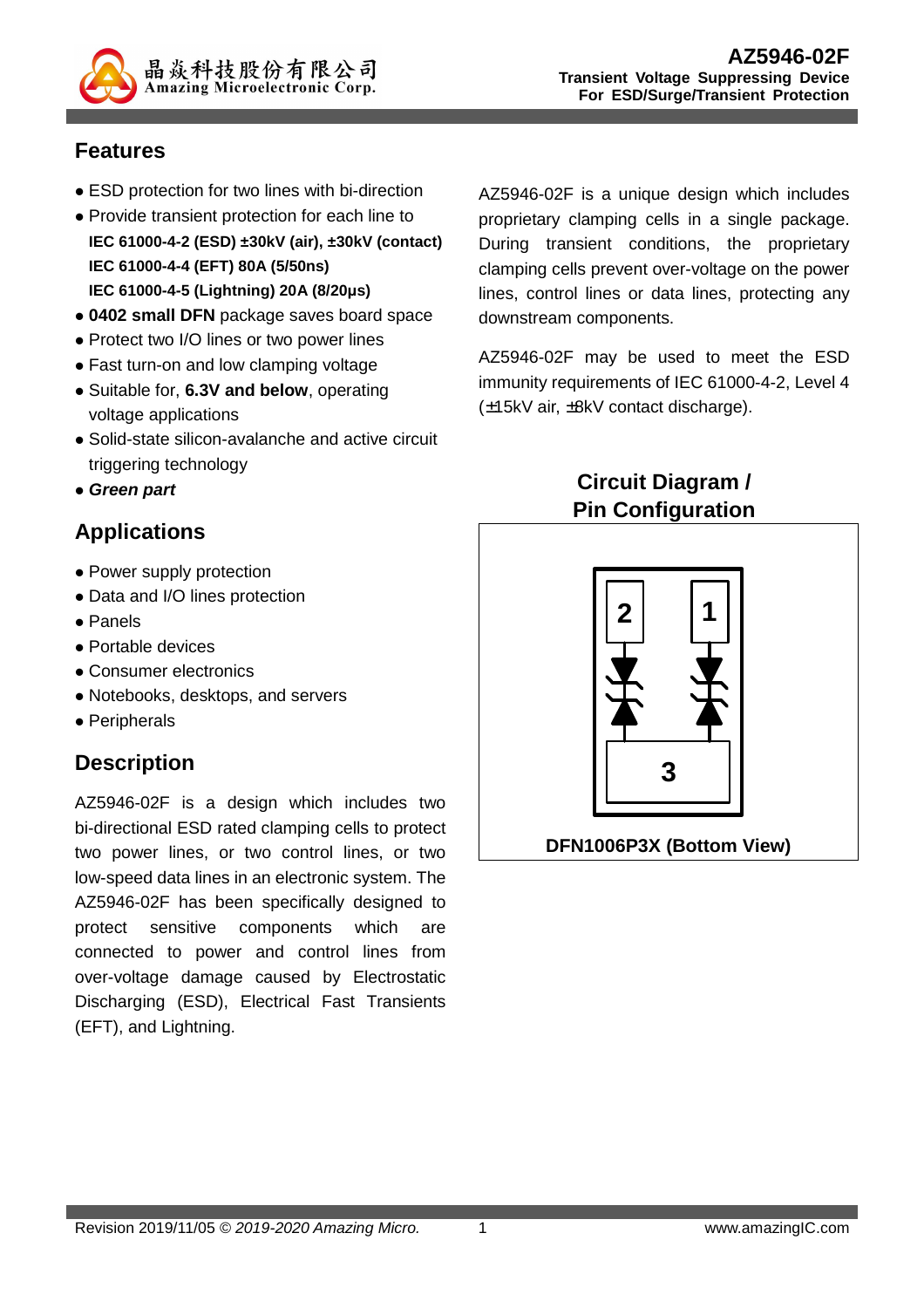

#### **Features**

- ESD protection for two lines with bi-direction
- Provide transient protection for each line to **IEC 61000-4-2 (ESD) ±30kV (air), ±30kV (contact) IEC 61000-4-4 (EFT) 80A (5/50ns) IEC 61000-4-5 (Lightning) 20A (8/20μs)**
- **0402 small DFN** package saves board space
- Protect two I/O lines or two power lines
- Fast turn-on and low clamping voltage
- Suitable for, **6.3V and below**, operating voltage applications
- Solid-state silicon-avalanche and active circuit triggering technology
- **Green part**

### **Applications**

- Power supply protection
- Data and I/O lines protection
- Panels
- Portable devices
- Consumer electronics
- Notebooks, desktops, and servers
- Peripherals

### **Description**

AZ5946-02F is a design which includes two bi-directional ESD rated clamping cells to protect two power lines, or two control lines, or two low-speed data lines in an electronic system. The AZ5946-02F has been specifically designed to protect sensitive components which are connected to power and control lines from over-voltage damage caused by Electrostatic Discharging (ESD), Electrical Fast Transients (EFT), and Lightning.

AZ5946-02F is a unique design which includes proprietary clamping cells in a single package. During transient conditions, the proprietary clamping cells prevent over-voltage on the power lines, control lines or data lines, protecting any downstream components.

AZ5946-02F may be used to meet the ESD immunity requirements of IEC 61000-4-2, Level 4 (±15kV air, ±8kV contact discharge).

## **Circuit Diagram / Pin Configuration**

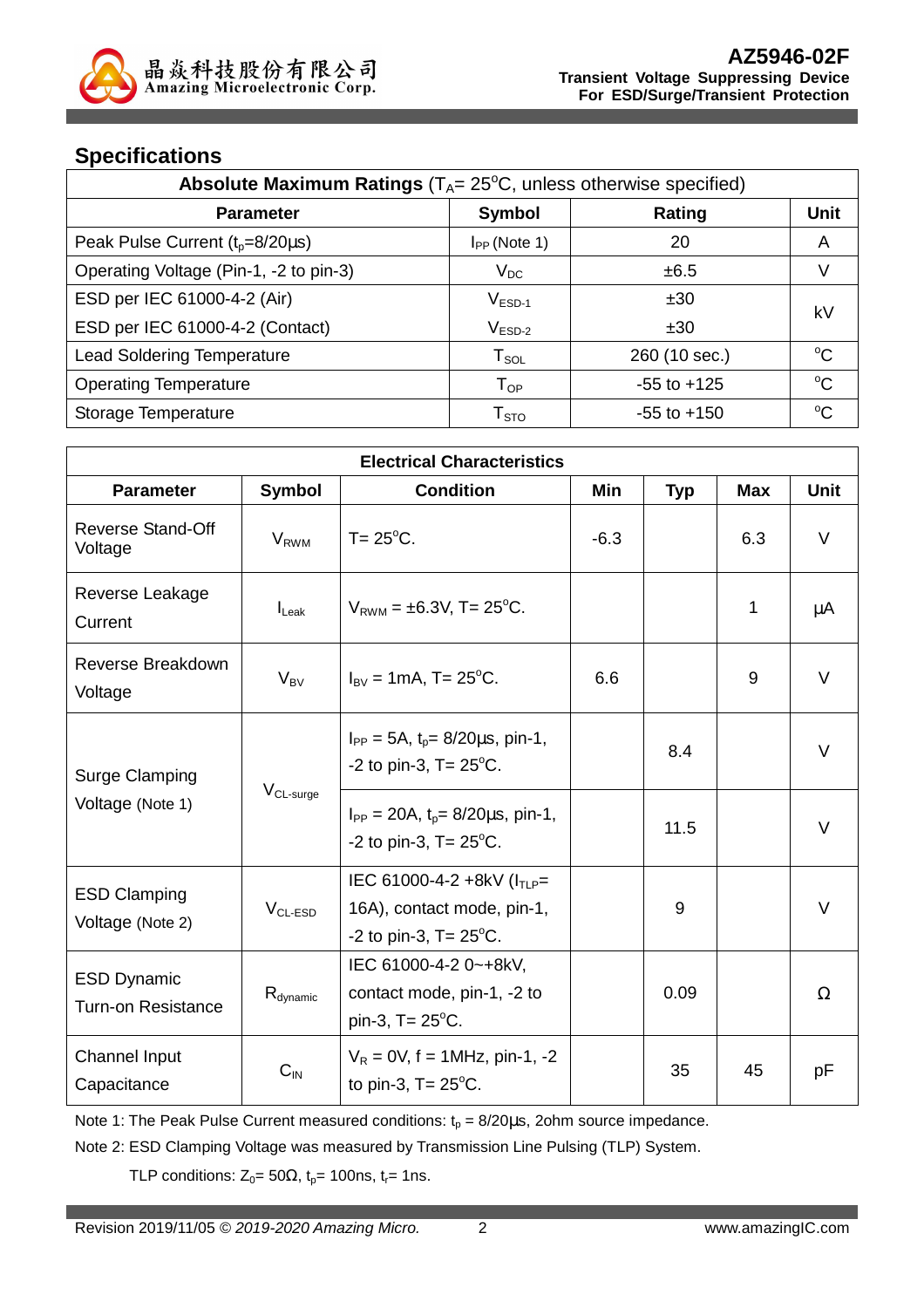# **Specifications**

| Absolute Maximum Ratings $(T_A = 25^{\circ}C,$ unless otherwise specified) |                            |                 |             |  |
|----------------------------------------------------------------------------|----------------------------|-----------------|-------------|--|
| <b>Parameter</b>                                                           | Symbol                     | Rating          | <b>Unit</b> |  |
| Peak Pulse Current $(t_p=8/20\mu s)$                                       | $I_{PP}$ (Note 1)          | 20              | A           |  |
| Operating Voltage (Pin-1, -2 to pin-3)                                     | $V_{DC}$                   | ±6.5            | V           |  |
| ESD per IEC 61000-4-2 (Air)                                                | $V_{ESD-1}$                | ±30             | kV          |  |
| ESD per IEC 61000-4-2 (Contact)                                            | $\rm V_{ESD-2}$            | ±30             |             |  |
| <b>Lead Soldering Temperature</b>                                          | ${\sf T}_{\sf SOL}$        | 260 (10 sec.)   | $^{\circ}C$ |  |
| <b>Operating Temperature</b>                                               | $\mathsf{T}_{\mathsf{OP}}$ | $-55$ to $+125$ | $^{\circ}C$ |  |
| Storage Temperature                                                        | ${\sf T}_{\text{STO}}$     | $-55$ to $+150$ | °C          |  |

| <b>Electrical Characteristics</b>                           |                          |                                                                                                    |        |            |            |             |
|-------------------------------------------------------------|--------------------------|----------------------------------------------------------------------------------------------------|--------|------------|------------|-------------|
| <b>Parameter</b>                                            | <b>Symbol</b>            | <b>Condition</b>                                                                                   | Min    | <b>Typ</b> | <b>Max</b> | <b>Unit</b> |
| Reverse Stand-Off<br>Voltage                                | <b>V</b> <sub>RWM</sub>  | $T = 25^{\circ}$ C.                                                                                | $-6.3$ |            | 6.3        | V           |
| Reverse Leakage<br>Current                                  | $I_{\text{L}eak}$        | $V_{RWM} = \pm 6.3V$ , T= 25°C.                                                                    |        |            | 1          | μA          |
| Reverse Breakdown<br>Voltage                                | $V_{BV}$                 | $I_{\text{BV}} = 1 \text{mA}$ , T= 25 <sup>o</sup> C.                                              | 6.6    |            | 9          | $\vee$      |
| <b>Surge Clamping</b><br>$V_{CL-surge}$<br>Voltage (Note 1) |                          | $I_{PP} = 5A$ , $t_0 = 8/20 \mu s$ , pin-1,<br>-2 to pin-3, $T = 25^{\circ}$ C.                    |        | 8.4        |            | V           |
|                                                             |                          | $I_{PP} = 20A$ , $t_p = 8/20 \mu s$ , pin-1,<br>-2 to pin-3, $T = 25^{\circ}$ C.                   |        | 11.5       |            | V           |
| <b>ESD Clamping</b><br>Voltage (Note 2)                     | $V_{CL-ESD}$             | IEC 61000-4-2 +8kV ( $I_{TLP}$ =<br>16A), contact mode, pin-1,<br>-2 to pin-3, $T = 25^{\circ}$ C. |        | 9          |            | V           |
| <b>ESD Dynamic</b><br><b>Turn-on Resistance</b>             | $R_{\text{dynamic}}$     | IEC 61000-4-2 0~+8kV,<br>contact mode, pin-1, -2 to<br>pin-3, $T = 25^{\circ}C$ .                  |        | 0.09       |            | $\Omega$    |
| <b>Channel Input</b><br>Capacitance                         | $\mathbf{C}_{\text{IN}}$ | $V_R = 0V$ , f = 1MHz, pin-1, -2<br>to pin-3, $T = 25^{\circ}$ C.                                  |        | 35         | 45         | pF          |

Note 1: The Peak Pulse Current measured conditions:  $t_p = 8/20\mu s$ , 2ohm source impedance.

Note 2: ESD Clamping Voltage was measured by Transmission Line Pulsing (TLP) System.

TLP conditions:  $Z_0 = 50\Omega$ ,  $t_p = 100$ ns,  $t_r = 1$ ns.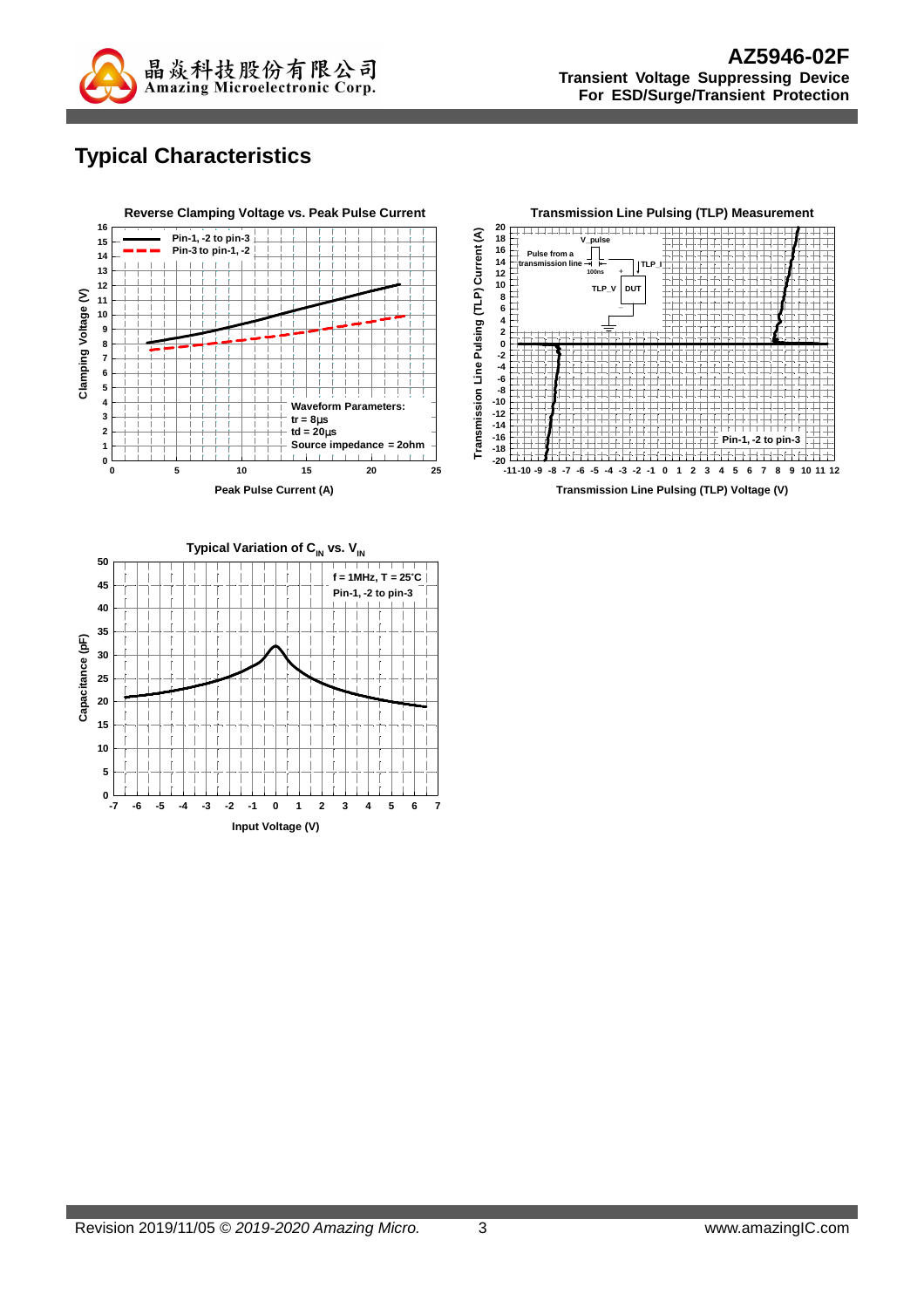

# **Typical Characteristics**





**Transmission Line Pulsing (TLP) Voltage (V)**

**Input Voltage (V) -7 -6 -5 -4 -3 -2 -1 0 1 2 3 4 5 6 7**

**5**

 $0 \frac{L}{7}$ 

**15**

**20**

**10**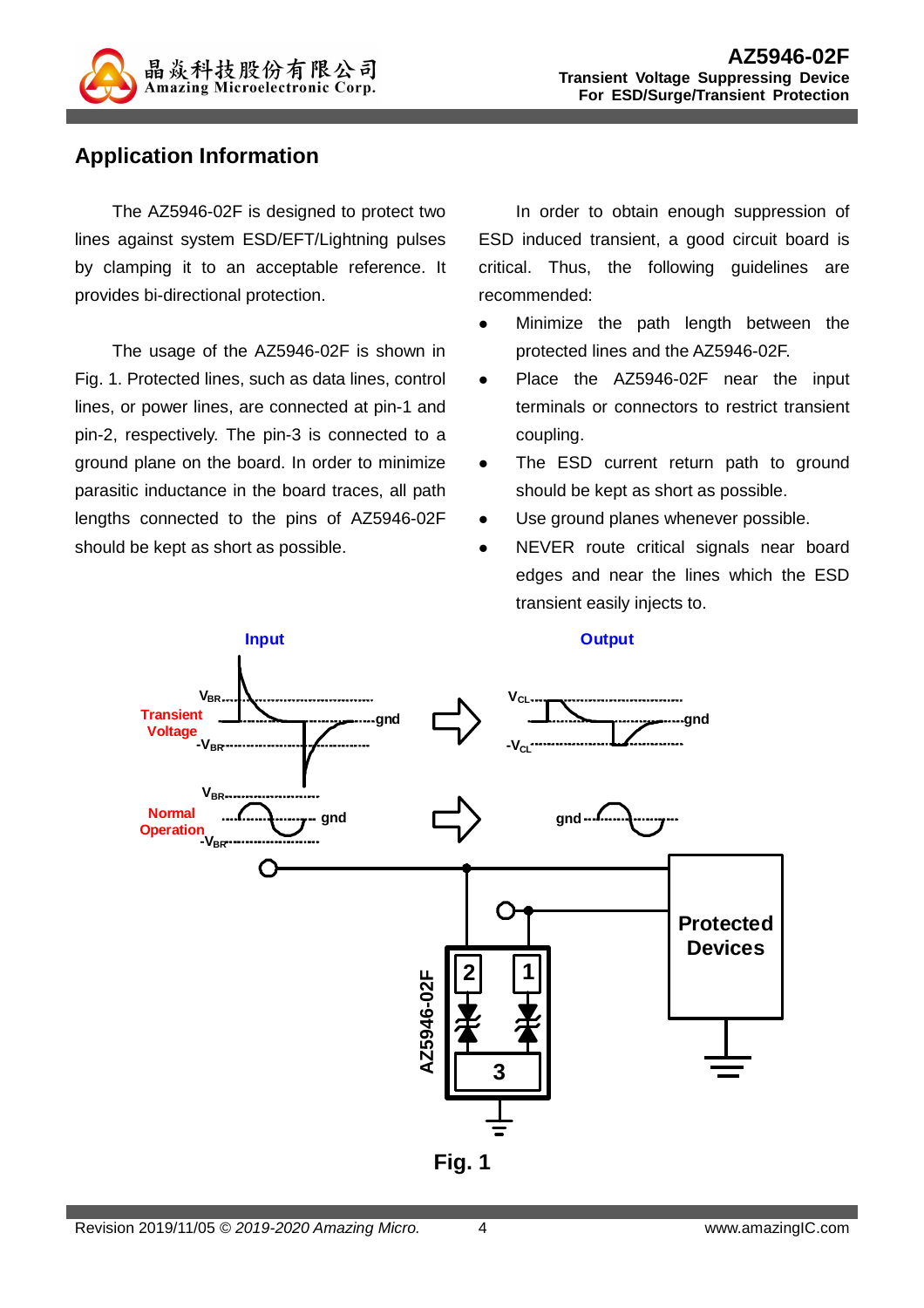

#### **Application Information**

The AZ5946-02F is designed to protect two lines against system ESD/EFT/Lightning pulses by clamping it to an acceptable reference. It provides bi-directional protection.

The usage of the AZ5946-02F is shown in Fig. 1. Protected lines, such as data lines, control lines, or power lines, are connected at pin-1 and pin-2, respectively. The pin-3 is connected to a ground plane on the board. In order to minimize parasitic inductance in the board traces, all path lengths connected to the pins of AZ5946-02F should be kept as short as possible.

In order to obtain enough suppression of ESD induced transient, a good circuit board is critical. Thus, the following guidelines are recommended:

- Minimize the path length between the protected lines and the AZ5946-02F.
- Place the AZ5946-02F near the input terminals or connectors to restrict transient coupling.
- The ESD current return path to ground should be kept as short as possible.
- Use ground planes whenever possible.
- NEVER route critical signals near board edges and near the lines which the ESD transient easily injects to.

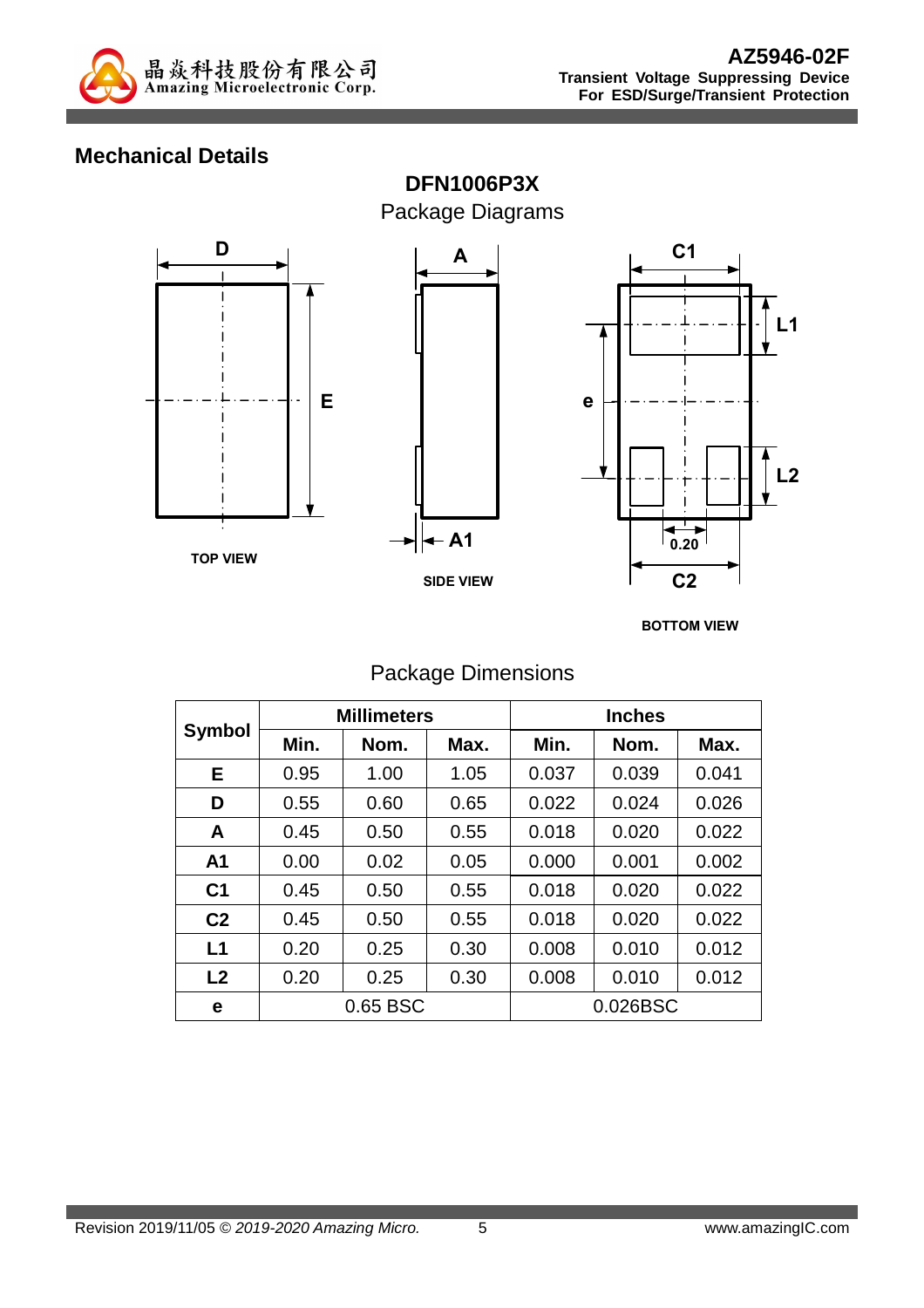

### **Mechanical Details**



**BOTTOM VIEW**

#### Package Dimensions

|                | <b>Millimeters</b> |      |      | <b>Inches</b> |          |       |
|----------------|--------------------|------|------|---------------|----------|-------|
| <b>Symbol</b>  | Min.               | Nom. | Max. | Min.          | Nom.     | Max.  |
| Е              | 0.95               | 1.00 | 1.05 | 0.037         | 0.039    | 0.041 |
| D              | 0.55               | 0.60 | 0.65 | 0.022         | 0.024    | 0.026 |
| A              | 0.45               | 0.50 | 0.55 | 0.018         | 0.020    | 0.022 |
| A <sub>1</sub> | 0.00               | 0.02 | 0.05 | 0.000         | 0.001    | 0.002 |
| C <sub>1</sub> | 0.45               | 0.50 | 0.55 | 0.018         | 0.020    | 0.022 |
| C <sub>2</sub> | 0.45               | 0.50 | 0.55 | 0.018         | 0.020    | 0.022 |
| L1             | 0.20               | 0.25 | 0.30 | 0.008         | 0.010    | 0.012 |
| L <sub>2</sub> | 0.20               | 0.25 | 0.30 | 0.008         | 0.010    | 0.012 |
| е              | 0.65 BSC           |      |      |               | 0.026BSC |       |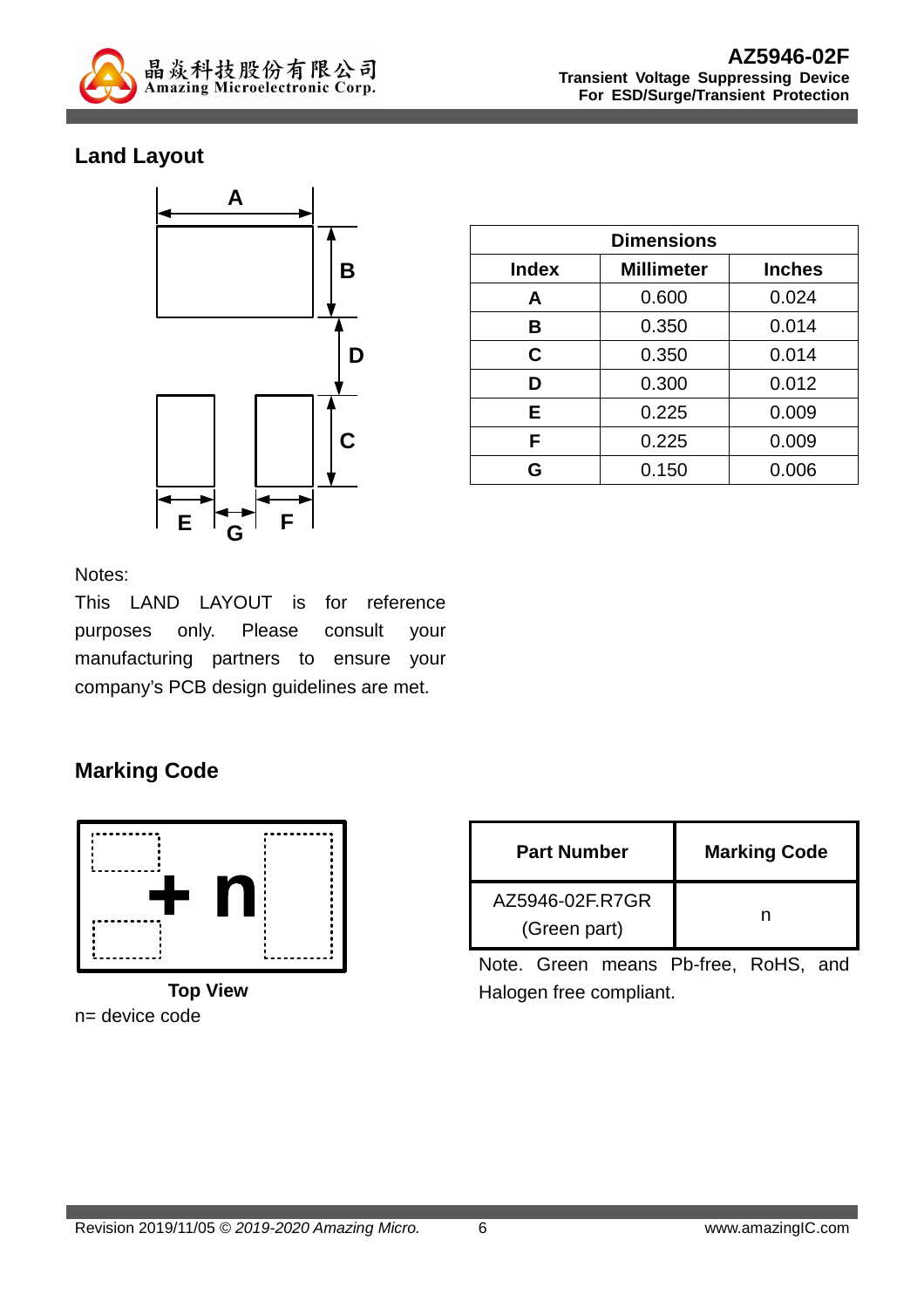

## **Land Layout**



| <b>Dimensions</b> |                   |               |  |  |
|-------------------|-------------------|---------------|--|--|
| <b>Index</b>      | <b>Millimeter</b> | <b>Inches</b> |  |  |
| A                 | 0.600             | 0.024         |  |  |
| B                 | 0.350             | 0.014         |  |  |
| C                 | 0.350             | 0.014         |  |  |
| D                 | 0.300             | 0.012         |  |  |
| Е                 | 0.225             | 0.009         |  |  |
| F                 | 0.225             | 0.009         |  |  |
| G                 | 0.150             | 0.006         |  |  |

Notes:

This LAND LAYOUT is for reference purposes only. Please consult your manufacturing partners to ensure your company's PCB design guidelines are met.

# **Marking Code**



n= device code

| <b>Part Number</b>              | <b>Marking Code</b> |  |
|---------------------------------|---------------------|--|
| AZ5946-02F.R7GR<br>(Green part) |                     |  |

Note. Green means Pb-free, RoHS, and Halogen free compliant.